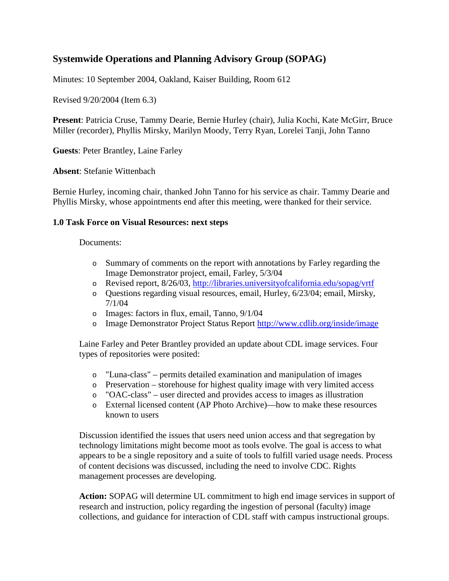# **Systemwide Operations and Planning Advisory Group (SOPAG)**

Minutes: 10 September 2004, Oakland, Kaiser Building, Room 612

Revised 9/20/2004 (Item 6.3)

**Present**: Patricia Cruse, Tammy Dearie, Bernie Hurley (chair), Julia Kochi, Kate McGirr, Bruce Miller (recorder), Phyllis Mirsky, Marilyn Moody, Terry Ryan, Lorelei Tanji, John Tanno

**Guests**: Peter Brantley, Laine Farley

**Absent**: Stefanie Wittenbach

Bernie Hurley, incoming chair, thanked John Tanno for his service as chair. Tammy Dearie and Phyllis Mirsky, whose appointments end after this meeting, were thanked for their service.

#### **1.0 Task Force on Visual Resources: next steps**

Documents:

- o Summary of comments on the report with annotations by Farley regarding the Image Demonstrator project, email, Farley, 5/3/04
- o Revised report, 8/26/03,<http://libraries.universityofcalifornia.edu/sopag/vrtf>
- o Questions regarding visual resources, email, Hurley, 6/23/04; email, Mirsky, 7/1/04
- o Images: factors in flux, email, Tanno, 9/1/04
- o Image Demonstrator Project Status Report<http://www.cdlib.org/inside/image>

Laine Farley and Peter Brantley provided an update about CDL image services. Four types of repositories were posited:

- o "Luna-class" permits detailed examination and manipulation of images
- o Preservation storehouse for highest quality image with very limited access
- o "OAC-class" user directed and provides access to images as illustration
- o External licensed content (AP Photo Archive)—how to make these resources known to users

Discussion identified the issues that users need union access and that segregation by technology limitations might become moot as tools evolve. The goal is access to what appears to be a single repository and a suite of tools to fulfill varied usage needs. Process of content decisions was discussed, including the need to involve CDC. Rights management processes are developing.

**Action:** SOPAG will determine UL commitment to high end image services in support of research and instruction, policy regarding the ingestion of personal (faculty) image collections, and guidance for interaction of CDL staff with campus instructional groups.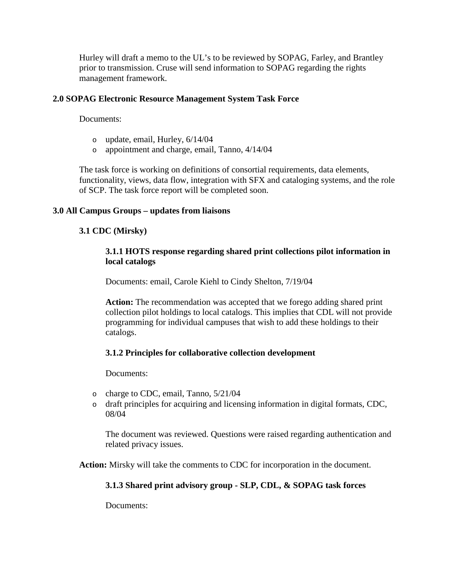Hurley will draft a memo to the UL's to be reviewed by SOPAG, Farley, and Brantley prior to transmission. Cruse will send information to SOPAG regarding the rights management framework.

#### **2.0 SOPAG Electronic Resource Management System Task Force**

Documents:

- o update, email, Hurley, 6/14/04
- o appointment and charge, email, Tanno, 4/14/04

The task force is working on definitions of consortial requirements, data elements, functionality, views, data flow, integration with SFX and cataloging systems, and the role of SCP. The task force report will be completed soon.

#### **3.0 All Campus Groups – updates from liaisons**

# **3.1 CDC (Mirsky)**

### **3.1.1 HOTS response regarding shared print collections pilot information in local catalogs**

Documents: email, Carole Kiehl to Cindy Shelton, 7/19/04

**Action:** The recommendation was accepted that we forego adding shared print collection pilot holdings to local catalogs. This implies that CDL will not provide programming for individual campuses that wish to add these holdings to their catalogs.

#### **3.1.2 Principles for collaborative collection development**

Documents:

- o charge to CDC, email, Tanno, 5/21/04
- o draft principles for acquiring and licensing information in digital formats, CDC, 08/04

The document was reviewed. Questions were raised regarding authentication and related privacy issues.

**Action:** Mirsky will take the comments to CDC for incorporation in the document.

# **3.1.3 Shared print advisory group - SLP, CDL, & SOPAG task forces**

Documents: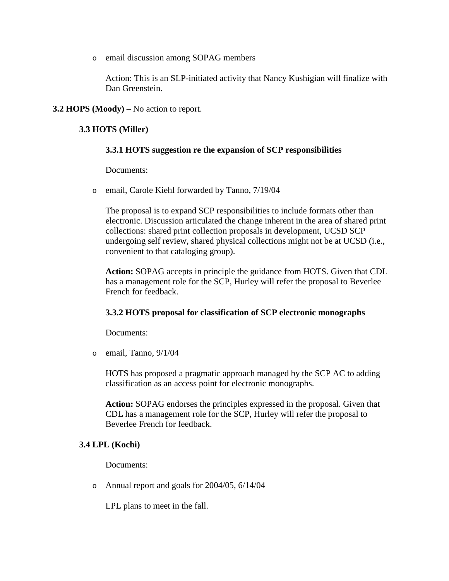o email discussion among SOPAG members

Action: This is an SLP-initiated activity that Nancy Kushigian will finalize with Dan Greenstein.

#### **3.2 HOPS (Moody)** – No action to report.

### **3.3 HOTS (Miller)**

#### **3.3.1 HOTS suggestion re the expansion of SCP responsibilities**

Documents:

o email, Carole Kiehl forwarded by Tanno, 7/19/04

The proposal is to expand SCP responsibilities to include formats other than electronic. Discussion articulated the change inherent in the area of shared print collections: shared print collection proposals in development, UCSD SCP undergoing self review, shared physical collections might not be at UCSD (i.e., convenient to that cataloging group).

**Action:** SOPAG accepts in principle the guidance from HOTS. Given that CDL has a management role for the SCP, Hurley will refer the proposal to Beverlee French for feedback.

#### **3.3.2 HOTS proposal for classification of SCP electronic monographs**

Documents:

o email, Tanno, 9/1/04

HOTS has proposed a pragmatic approach managed by the SCP AC to adding classification as an access point for electronic monographs.

**Action:** SOPAG endorses the principles expressed in the proposal. Given that CDL has a management role for the SCP, Hurley will refer the proposal to Beverlee French for feedback.

#### **3.4 LPL (Kochi)**

Documents:

o Annual report and goals for 2004/05, 6/14/04

LPL plans to meet in the fall.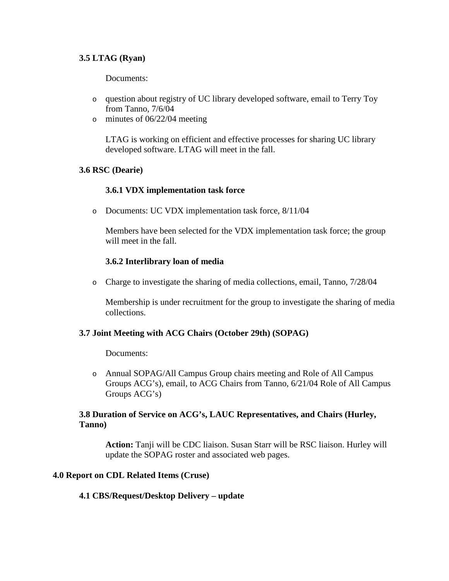# **3.5 LTAG (Ryan)**

### Documents:

- o question about registry of UC library developed software, email to Terry Toy from Tanno, 7/6/04
- o minutes of 06/22/04 meeting

LTAG is working on efficient and effective processes for sharing UC library developed software. LTAG will meet in the fall.

#### **3.6 RSC (Dearie)**

#### **3.6.1 VDX implementation task force**

o Documents: UC VDX implementation task force, 8/11/04

Members have been selected for the VDX implementation task force; the group will meet in the fall.

#### **3.6.2 Interlibrary loan of media**

o Charge to investigate the sharing of media collections, email, Tanno, 7/28/04

Membership is under recruitment for the group to investigate the sharing of media collections.

# **3.7 Joint Meeting with ACG Chairs (October 29th) (SOPAG)**

Documents:

o Annual SOPAG/All Campus Group chairs meeting and Role of All Campus Groups ACG's), email, to ACG Chairs from Tanno, 6/21/04 Role of All Campus Groups ACG's)

# **3.8 Duration of Service on ACG's, LAUC Representatives, and Chairs (Hurley, Tanno)**

**Action:** Tanji will be CDC liaison. Susan Starr will be RSC liaison. Hurley will update the SOPAG roster and associated web pages.

#### **4.0 Report on CDL Related Items (Cruse)**

#### **4.1 CBS/Request/Desktop Delivery – update**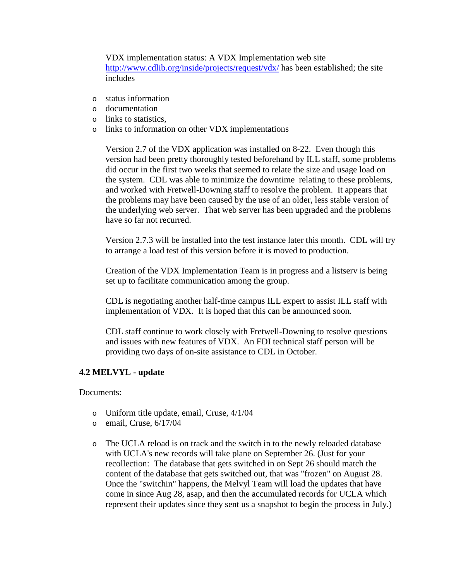VDX implementation status: A VDX Implementation web site <http://www.cdlib.org/inside/projects/request/vdx/> has been established; the site includes

- o status information
- o documentation
- o links to statistics,
- o links to information on other VDX implementations

Version 2.7 of the VDX application was installed on 8-22. Even though this version had been pretty thoroughly tested beforehand by ILL staff, some problems did occur in the first two weeks that seemed to relate the size and usage load on the system. CDL was able to minimize the downtime relating to these problems, and worked with Fretwell-Downing staff to resolve the problem. It appears that the problems may have been caused by the use of an older, less stable version of the underlying web server. That web server has been upgraded and the problems have so far not recurred.

Version 2.7.3 will be installed into the test instance later this month. CDL will try to arrange a load test of this version before it is moved to production.

Creation of the VDX Implementation Team is in progress and a listserv is being set up to facilitate communication among the group.

CDL is negotiating another half-time campus ILL expert to assist ILL staff with implementation of VDX. It is hoped that this can be announced soon.

CDL staff continue to work closely with Fretwell-Downing to resolve questions and issues with new features of VDX. An FDI technical staff person will be providing two days of on-site assistance to CDL in October.

#### **4.2 MELVYL - update**

Documents:

- o Uniform title update, email, Cruse, 4/1/04
- o email, Cruse, 6/17/04
- o The UCLA reload is on track and the switch in to the newly reloaded database with UCLA's new records will take plane on September 26. (Just for your recollection: The database that gets switched in on Sept 26 should match the content of the database that gets switched out, that was "frozen" on August 28. Once the "switchin" happens, the Melvyl Team will load the updates that have come in since Aug 28, asap, and then the accumulated records for UCLA which represent their updates since they sent us a snapshot to begin the process in July.)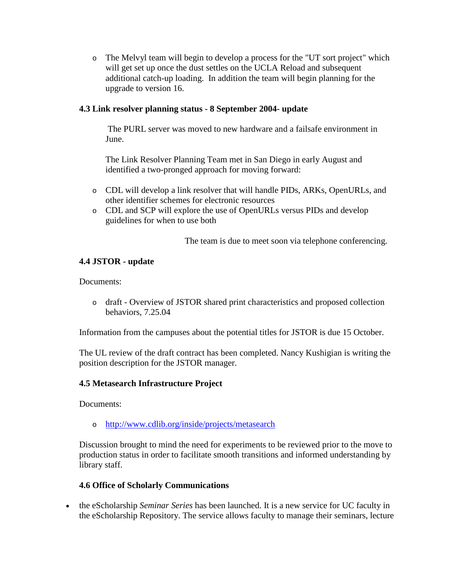o The Melvyl team will begin to develop a process for the "UT sort project" which will get set up once the dust settles on the UCLA Reload and subsequent additional catch-up loading. In addition the team will begin planning for the upgrade to version 16.

### **4.3 Link resolver planning status - 8 September 2004- update**

The PURL server was moved to new hardware and a failsafe environment in June.

The Link Resolver Planning Team met in San Diego in early August and identified a two-pronged approach for moving forward:

- o CDL will develop a link resolver that will handle PIDs, ARKs, OpenURLs, and other identifier schemes for electronic resources
- o CDL and SCP will explore the use of OpenURLs versus PIDs and develop guidelines for when to use both

The team is due to meet soon via telephone conferencing.

# **4.4 JSTOR - update**

Documents:

o draft - Overview of JSTOR shared print characteristics and proposed collection behaviors, 7.25.04

Information from the campuses about the potential titles for JSTOR is due 15 October.

The UL review of the draft contract has been completed. Nancy Kushigian is writing the position description for the JSTOR manager.

# **4.5 Metasearch Infrastructure Project**

Documents:

o <http://www.cdlib.org/inside/projects/metasearch>

Discussion brought to mind the need for experiments to be reviewed prior to the move to production status in order to facilitate smooth transitions and informed understanding by library staff.

# **4.6 Office of Scholarly Communications**

• the eScholarship *Seminar Series* has been launched. It is a new service for UC faculty in the eScholarship Repository. The service allows faculty to manage their seminars, lecture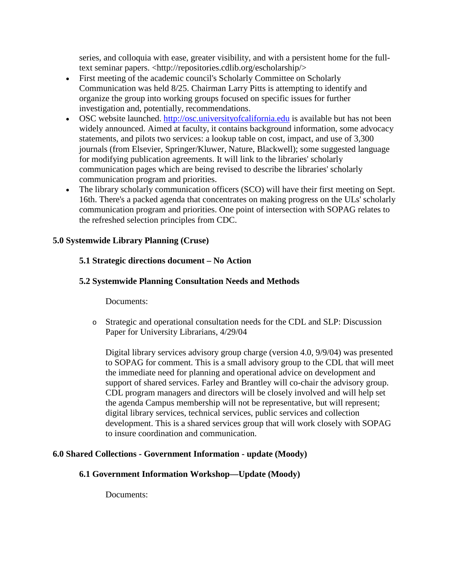series, and colloquia with ease, greater visibility, and with a persistent home for the fulltext seminar papers. <http://repositories.cdlib.org/escholarship/>

- First meeting of the academic council's Scholarly Committee on Scholarly Communication was held 8/25. Chairman Larry Pitts is attempting to identify and organize the group into working groups focused on specific issues for further investigation and, potentially, recommendations.
- OSC website launched. [http://osc.universityofcalifornia.edu](http://osc.universityofcalifornia.edu/) is available but has not been widely announced. Aimed at faculty, it contains background information, some advocacy statements, and pilots two services: a lookup table on cost, impact, and use of 3,300 journals (from Elsevier, Springer/Kluwer, Nature, Blackwell); some suggested language for modifying publication agreements. It will link to the libraries' scholarly communication pages which are being revised to describe the libraries' scholarly communication program and priorities.
- The library scholarly communication officers (SCO) will have their first meeting on Sept. 16th. There's a packed agenda that concentrates on making progress on the ULs' scholarly communication program and priorities. One point of intersection with SOPAG relates to the refreshed selection principles from CDC.

# **5.0 Systemwide Library Planning (Cruse)**

# **5.1 Strategic directions document – No Action**

# **5.2 Systemwide Planning Consultation Needs and Methods**

Documents:

o Strategic and operational consultation needs for the CDL and SLP: Discussion Paper for University Librarians, 4/29/04

Digital library services advisory group charge (version 4.0, 9/9/04) was presented to SOPAG for comment. This is a small advisory group to the CDL that will meet the immediate need for planning and operational advice on development and support of shared services. Farley and Brantley will co-chair the advisory group. CDL program managers and directors will be closely involved and will help set the agenda Campus membership will not be representative, but will represent; digital library services, technical services, public services and collection development. This is a shared services group that will work closely with SOPAG to insure coordination and communication.

# **6.0 Shared Collections - Government Information - update (Moody)**

# **6.1 Government Information Workshop—Update (Moody)**

Documents: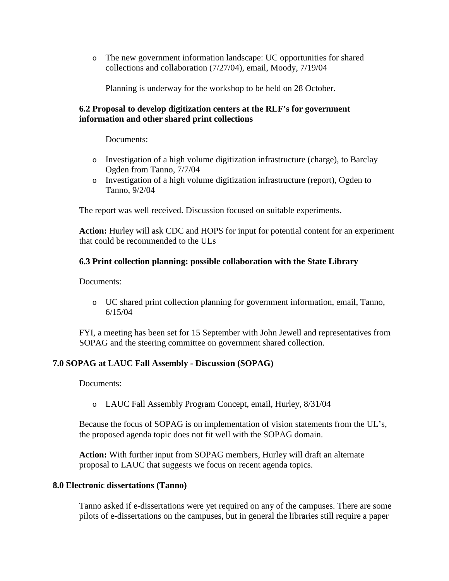o The new government information landscape: UC opportunities for shared collections and collaboration (7/27/04), email, Moody, 7/19/04

Planning is underway for the workshop to be held on 28 October.

# **6.2 Proposal to develop digitization centers at the RLF's for government information and other shared print collections**

Documents:

- o Investigation of a high volume digitization infrastructure (charge), to Barclay Ogden from Tanno, 7/7/04
- o Investigation of a high volume digitization infrastructure (report), Ogden to Tanno, 9/2/04

The report was well received. Discussion focused on suitable experiments.

**Action:** Hurley will ask CDC and HOPS for input for potential content for an experiment that could be recommended to the ULs

# **6.3 Print collection planning: possible collaboration with the State Library**

Documents:

o UC shared print collection planning for government information, email, Tanno, 6/15/04

FYI, a meeting has been set for 15 September with John Jewell and representatives from SOPAG and the steering committee on government shared collection.

# **7.0 SOPAG at LAUC Fall Assembly - Discussion (SOPAG)**

Documents:

o LAUC Fall Assembly Program Concept, email, Hurley, 8/31/04

Because the focus of SOPAG is on implementation of vision statements from the UL's, the proposed agenda topic does not fit well with the SOPAG domain.

**Action:** With further input from SOPAG members, Hurley will draft an alternate proposal to LAUC that suggests we focus on recent agenda topics.

#### **8.0 Electronic dissertations (Tanno)**

Tanno asked if e-dissertations were yet required on any of the campuses. There are some pilots of e-dissertations on the campuses, but in general the libraries still require a paper